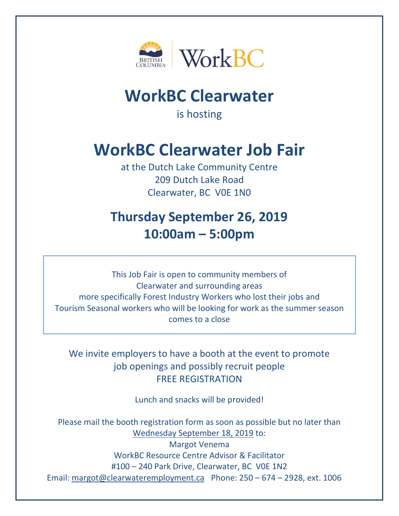

## **WorkBC Clearwater**

is hosting

## **WorkBC Clearwater Job Fair**

at the Dutch Lake Community Centre 209 Dutch Lake Road Clearwater, BC V0E 1N0

## **Thursday September 26, 2019 10:00am – 5:00pm**

This Job Fair is open to community members of Clearwater and surrounding areas more specifically Forest Industry Workers who lost their jobs and Tourism Seasonal workers who will be looking for work as the summer season comes to a close

We invite employers to have a booth at the event to promote job openings and possibly recruit people FREE REGISTRATION

Lunch and snacks will be provided!

Please mail the booth registration form as soon as possible but no later than Wednesday September 18, 2019 to: Margot Venema WorkBC Resource Centre Advisor & Facilitator #100 – 240 Park Drive, Clearwater, BC V0E 1N2 Email: [margot@clearwateremployment.ca](mailto:margot@clearwateremployment.ca) Phone: 250 – 674 – 2928, ext. 1006